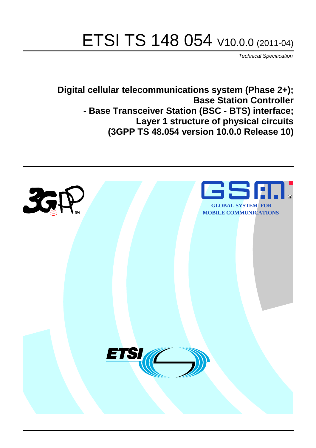# ETSI TS 148 054 V10.0.0 (2011-04)

*Technical Specification*

**Digital cellular telecommunications system (Phase 2+); Base Station Controller - Base Transceiver Station (BSC - BTS) interface; Layer 1 structure of physical circuits (3GPP TS 48.054 version 10.0.0 Release 10)**

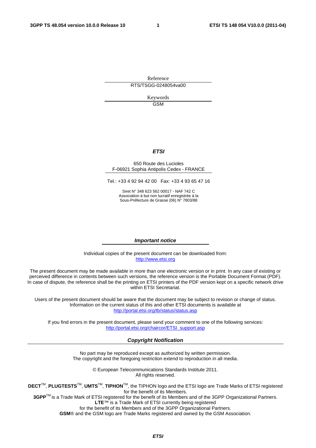Reference RTS/TSGG-0248054va00

> Keywords GSM

#### *ETSI*

#### 650 Route des Lucioles F-06921 Sophia Antipolis Cedex - FRANCE

Tel.: +33 4 92 94 42 00 Fax: +33 4 93 65 47 16

Siret N° 348 623 562 00017 - NAF 742 C Association à but non lucratif enregistrée à la Sous-Préfecture de Grasse (06) N° 7803/88

#### *Important notice*

Individual copies of the present document can be downloaded from: [http://www.etsi.org](http://www.etsi.org/)

The present document may be made available in more than one electronic version or in print. In any case of existing or perceived difference in contents between such versions, the reference version is the Portable Document Format (PDF). In case of dispute, the reference shall be the printing on ETSI printers of the PDF version kept on a specific network drive within ETSI Secretariat.

Users of the present document should be aware that the document may be subject to revision or change of status. Information on the current status of this and other ETSI documents is available at <http://portal.etsi.org/tb/status/status.asp>

If you find errors in the present document, please send your comment to one of the following services: [http://portal.etsi.org/chaircor/ETSI\\_support.asp](http://portal.etsi.org/chaircor/ETSI_support.asp)

#### *Copyright Notification*

No part may be reproduced except as authorized by written permission. The copyright and the foregoing restriction extend to reproduction in all media.

> © European Telecommunications Standards Institute 2011. All rights reserved.

**DECT**TM, **PLUGTESTS**TM, **UMTS**TM, **TIPHON**TM, the TIPHON logo and the ETSI logo are Trade Marks of ETSI registered for the benefit of its Members.

**3GPP**TM is a Trade Mark of ETSI registered for the benefit of its Members and of the 3GPP Organizational Partners. **LTE**™ is a Trade Mark of ETSI currently being registered

for the benefit of its Members and of the 3GPP Organizational Partners.

**GSM**® and the GSM logo are Trade Marks registered and owned by the GSM Association.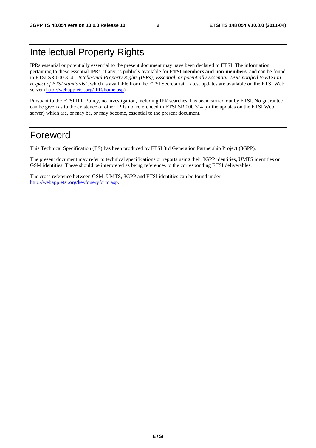### Intellectual Property Rights

IPRs essential or potentially essential to the present document may have been declared to ETSI. The information pertaining to these essential IPRs, if any, is publicly available for **ETSI members and non-members**, and can be found in ETSI SR 000 314: *"Intellectual Property Rights (IPRs); Essential, or potentially Essential, IPRs notified to ETSI in respect of ETSI standards"*, which is available from the ETSI Secretariat. Latest updates are available on the ETSI Web server ([http://webapp.etsi.org/IPR/home.asp\)](http://webapp.etsi.org/IPR/home.asp).

Pursuant to the ETSI IPR Policy, no investigation, including IPR searches, has been carried out by ETSI. No guarantee can be given as to the existence of other IPRs not referenced in ETSI SR 000 314 (or the updates on the ETSI Web server) which are, or may be, or may become, essential to the present document.

#### Foreword

This Technical Specification (TS) has been produced by ETSI 3rd Generation Partnership Project (3GPP).

The present document may refer to technical specifications or reports using their 3GPP identities, UMTS identities or GSM identities. These should be interpreted as being references to the corresponding ETSI deliverables.

The cross reference between GSM, UMTS, 3GPP and ETSI identities can be found under [http://webapp.etsi.org/key/queryform.asp.](http://webapp.etsi.org/key/queryform.asp)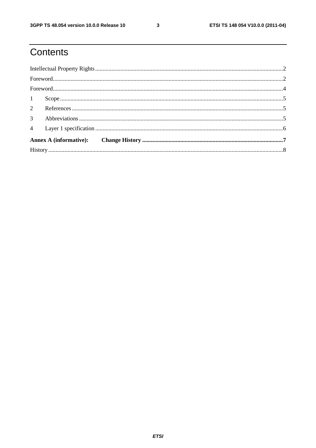## Contents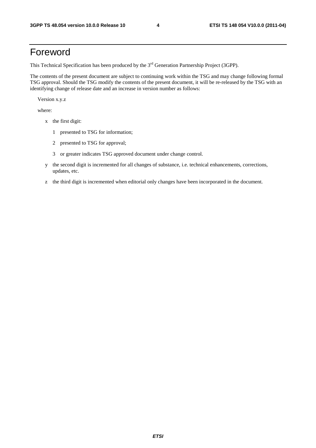#### Foreword

This Technical Specification has been produced by the 3<sup>rd</sup> Generation Partnership Project (3GPP).

The contents of the present document are subject to continuing work within the TSG and may change following formal TSG approval. Should the TSG modify the contents of the present document, it will be re-released by the TSG with an identifying change of release date and an increase in version number as follows:

Version x.y.z

where:

- x the first digit:
	- 1 presented to TSG for information;
	- 2 presented to TSG for approval;
	- 3 or greater indicates TSG approved document under change control.
- y the second digit is incremented for all changes of substance, i.e. technical enhancements, corrections, updates, etc.
- z the third digit is incremented when editorial only changes have been incorporated in the document.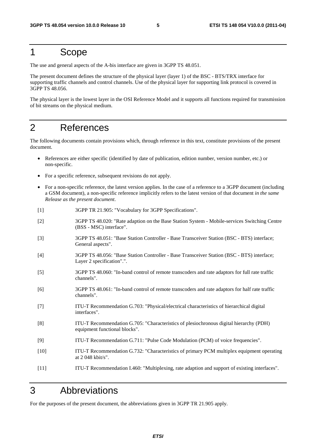#### 1 Scope

The use and general aspects of the A-bis interface are given in 3GPP TS 48.051.

The present document defines the structure of the physical layer (layer 1) of the BSC - BTS/TRX interface for supporting traffic channels and control channels. Use of the physical layer for supporting link protocol is covered in 3GPP TS 48.056.

The physical layer is the lowest layer in the OSI Reference Model and it supports all functions required for transmission of bit streams on the physical medium.

### 2 References

The following documents contain provisions which, through reference in this text, constitute provisions of the present document.

- References are either specific (identified by date of publication, edition number, version number, etc.) or non-specific.
- For a specific reference, subsequent revisions do not apply.
- For a non-specific reference, the latest version applies. In the case of a reference to a 3GPP document (including a GSM document), a non-specific reference implicitly refers to the latest version of that document *in the same Release as the present document*.
- [1] 3GPP TR 21.905: "Vocabulary for 3GPP Specifications".
- [2] 3GPP TS 48.020: "Rate adaption on the Base Station System Mobile-services Switching Centre (BSS - MSC) interface".
- [3] 3GPP TS 48.051: "Base Station Controller Base Transceiver Station (BSC BTS) interface; General aspects".
- [4] 3GPP TS 48.056: "Base Station Controller Base Transceiver Station (BSC BTS) interface; Layer 2 specification".".
- [5] 3GPP TS 48.060: "In-band control of remote transcoders and rate adaptors for full rate traffic channels".
- [6] 3GPP TS 48.061: "In-band control of remote transcoders and rate adaptors for half rate traffic channels".
- [7] ITU-T Recommendation G.703: "Physical/electrical characteristics of hierarchical digital interfaces".
- [8] ITU-T Recommendation G.705: "Characteristics of plesiochronous digital hierarchy (PDH) equipment functional blocks".
- [9] ITU-T Recommendation G.711: "Pulse Code Modulation (PCM) of voice frequencies".
- [10] ITU-T Recommendation G.732: "Characteristics of primary PCM multiplex equipment operating at 2 048 kbit/s".
- [11] ITU-T Recommendation I.460: "Multiplexing, rate adaption and support of existing interfaces".

#### 3 Abbreviations

For the purposes of the present document, the abbreviations given in 3GPP TR 21.905 apply.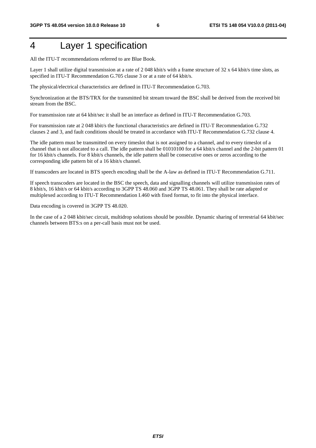### 4 Layer 1 specification

All the ITU-T recommendations referred to are Blue Book.

Layer 1 shall utilize digital transmission at a rate of 2048 kbit/s with a frame structure of 32 x 64 kbit/s time slots, as specified in ITU-T Recommendation G.705 clause 3 or at a rate of 64 kbit/s.

The physical/electrical characteristics are defined in ITU-T Recommendation G.703.

Synchronization at the BTS/TRX for the transmitted bit stream toward the BSC shall be derived from the received bit stream from the BSC.

For transmission rate at 64 kbit/sec it shall be an interface as defined in ITU-T Recommendation G.703.

For transmission rate at 2 048 kbit/s the functional characteristics are defined in ITU-T Recommendation G.732 clauses 2 and 3, and fault conditions should be treated in accordance with ITU-T Recommendation G.732 clause 4.

The idle pattern must be transmitted on every timeslot that is not assigned to a channel, and to every timeslot of a channel that is not allocated to a call. The idle pattern shall be 01010100 for a 64 kbit/s channel and the 2-bit pattern 01 for 16 kbit/s channels. For 8 kbit/s channels, the idle pattern shall be consecutive ones or zeros according to the corresponding idle pattern bit of a 16 kbit/s channel.

If transcoders are located in BTS speech encoding shall be the A-law as defined in ITU-T Recommendation G.711.

If speech transcoders are located in the BSC the speech, data and signalling channels will utilize transmission rates of 8 kbit/s, 16 kbit/s or 64 kbit/s according to 3GPP TS 48.060 and 3GPP TS 48.061. They shall be rate adapted or multiplexed according to ITU-T Recommendation I.460 with fixed format, to fit into the physical interface.

Data encoding is covered in 3GPP TS 48.020.

In the case of a 2 048 kbit/sec circuit, multidrop solutions should be possible. Dynamic sharing of terrestrial 64 kbit/sec channels between BTS:s on a per-call basis must not be used.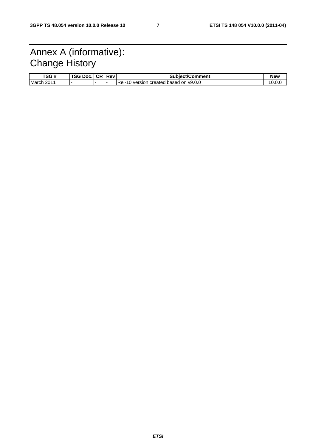### Annex A (informative): Change History

| TSG #                  | <b>TSG Doc.</b> | <b>CR Revi</b> | <b>Subject/Comment</b>                             | <b>New</b> |
|------------------------|-----------------|----------------|----------------------------------------------------|------------|
| March<br>$201^{\circ}$ |                 |                | Rel-<br>created based on v9.0.0<br>, version<br>ாட | 10.0.      |